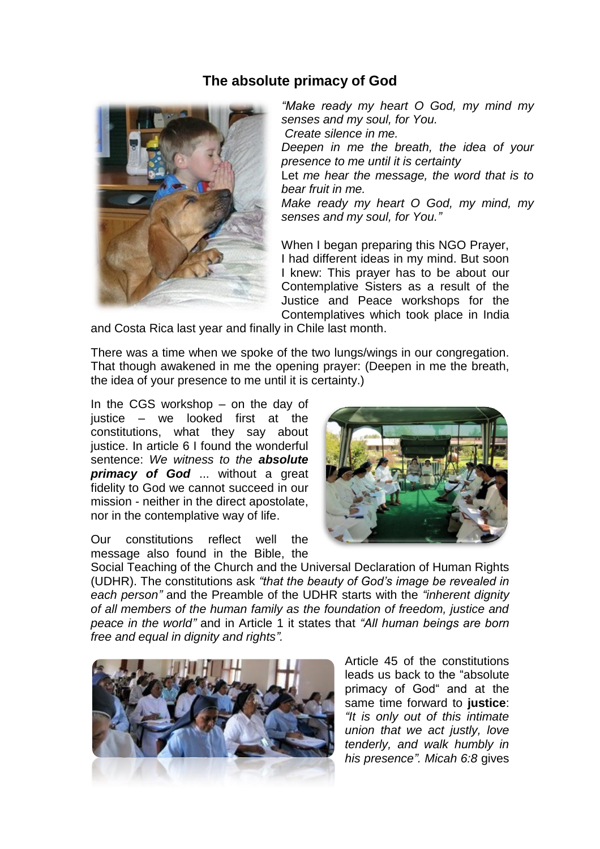## **The absolute primacy of God**



*"Make ready my heart O God, my mind my senses and my soul, for You. Create silence in me. Deepen in me the breath, the idea of your presence to me until it is certainty* Let *me hear the message, the word that is to bear fruit in me. Make ready my heart O God, my mind, my senses and my soul, for You."*

When I began preparing this NGO Prayer, I had different ideas in my mind. But soon I knew: This prayer has to be about our Contemplative Sisters as a result of the Justice and Peace workshops for the Contemplatives which took place in India

and Costa Rica last year and finally in Chile last month.

There was a time when we spoke of the two lungs/wings in our congregation. That though awakened in me the opening prayer: (Deepen in me the breath, the idea of your presence to me until it is certainty.)

In the CGS workshop – on the day of justice – we looked first at the constitutions, what they say about justice. In article 6 I found the wonderful sentence: *We witness to the absolute primacy of God* ... without a great fidelity to God we cannot succeed in our mission - neither in the direct apostolate, nor in the contemplative way of life.

Our constitutions reflect well the message also found in the Bible, the



Social Teaching of the Church and the Universal Declaration of Human Rights (UDHR). The constitutions ask *"that the beauty of God's image be revealed in each person"* and the Preamble of the UDHR starts with the *"inherent dignity of all members of the human family as the foundation of freedom, justice and peace in the world"* and in Article 1 it states that *"All human beings are born free and equal in dignity and rights".* 



Article 45 of the constitutions leads us back to the "absolute primacy of God" and at the same time forward to **justice**: *"It is only out of this intimate union that we act justly, love tenderly, and walk humbly in his presence". Micah 6:8* gives